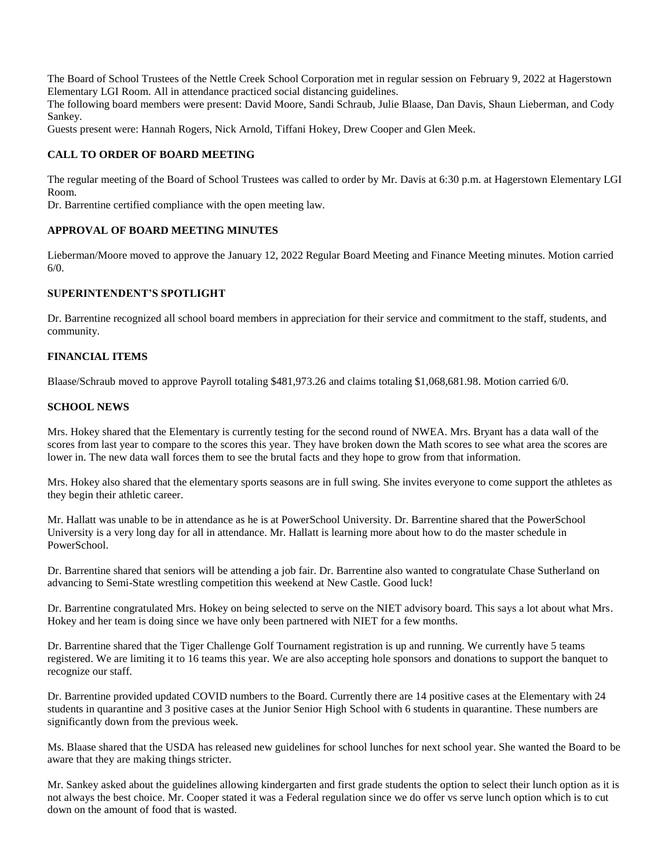The Board of School Trustees of the Nettle Creek School Corporation met in regular session on February 9, 2022 at Hagerstown Elementary LGI Room. All in attendance practiced social distancing guidelines.

The following board members were present: David Moore, Sandi Schraub, Julie Blaase, Dan Davis, Shaun Lieberman, and Cody Sankey.

Guests present were: Hannah Rogers, Nick Arnold, Tiffani Hokey, Drew Cooper and Glen Meek.

## **CALL TO ORDER OF BOARD MEETING**

The regular meeting of the Board of School Trustees was called to order by Mr. Davis at 6:30 p.m. at Hagerstown Elementary LGI Room.

Dr. Barrentine certified compliance with the open meeting law.

#### **APPROVAL OF BOARD MEETING MINUTES**

Lieberman/Moore moved to approve the January 12, 2022 Regular Board Meeting and Finance Meeting minutes. Motion carried 6/0.

## **SUPERINTENDENT'S SPOTLIGHT**

Dr. Barrentine recognized all school board members in appreciation for their service and commitment to the staff, students, and community.

### **FINANCIAL ITEMS**

Blaase/Schraub moved to approve Payroll totaling \$481,973.26 and claims totaling \$1,068,681.98. Motion carried 6/0.

#### **SCHOOL NEWS**

Mrs. Hokey shared that the Elementary is currently testing for the second round of NWEA. Mrs. Bryant has a data wall of the scores from last year to compare to the scores this year. They have broken down the Math scores to see what area the scores are lower in. The new data wall forces them to see the brutal facts and they hope to grow from that information.

Mrs. Hokey also shared that the elementary sports seasons are in full swing. She invites everyone to come support the athletes as they begin their athletic career.

Mr. Hallatt was unable to be in attendance as he is at PowerSchool University. Dr. Barrentine shared that the PowerSchool University is a very long day for all in attendance. Mr. Hallatt is learning more about how to do the master schedule in PowerSchool.

Dr. Barrentine shared that seniors will be attending a job fair. Dr. Barrentine also wanted to congratulate Chase Sutherland on advancing to Semi-State wrestling competition this weekend at New Castle. Good luck!

Dr. Barrentine congratulated Mrs. Hokey on being selected to serve on the NIET advisory board. This says a lot about what Mrs. Hokey and her team is doing since we have only been partnered with NIET for a few months.

Dr. Barrentine shared that the Tiger Challenge Golf Tournament registration is up and running. We currently have 5 teams registered. We are limiting it to 16 teams this year. We are also accepting hole sponsors and donations to support the banquet to recognize our staff.

Dr. Barrentine provided updated COVID numbers to the Board. Currently there are 14 positive cases at the Elementary with 24 students in quarantine and 3 positive cases at the Junior Senior High School with 6 students in quarantine. These numbers are significantly down from the previous week.

Ms. Blaase shared that the USDA has released new guidelines for school lunches for next school year. She wanted the Board to be aware that they are making things stricter.

Mr. Sankey asked about the guidelines allowing kindergarten and first grade students the option to select their lunch option as it is not always the best choice. Mr. Cooper stated it was a Federal regulation since we do offer vs serve lunch option which is to cut down on the amount of food that is wasted.